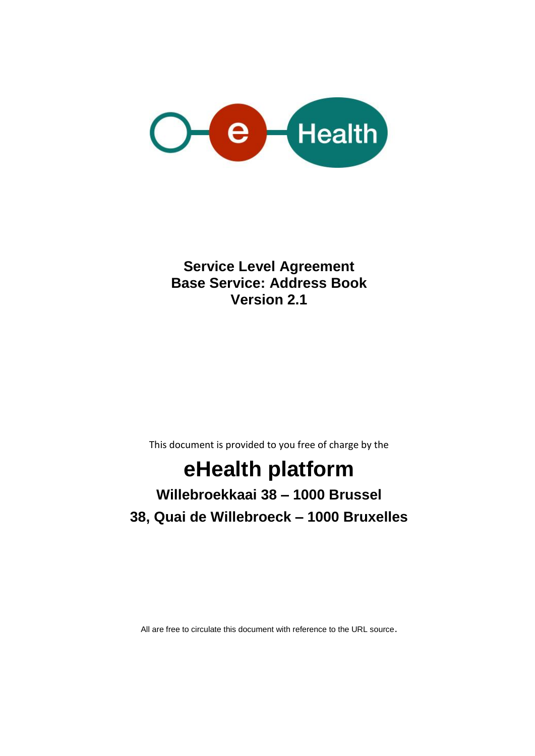

**Service Level Agreement Base Service: Address Book Version 2.1**

This document is provided to you free of charge by the

# **eHealth platform**

## **Willebroekkaai 38 – 1000 Brussel 38, Quai de Willebroeck – 1000 Bruxelles**

All are free to circulate this document with reference to the URL source.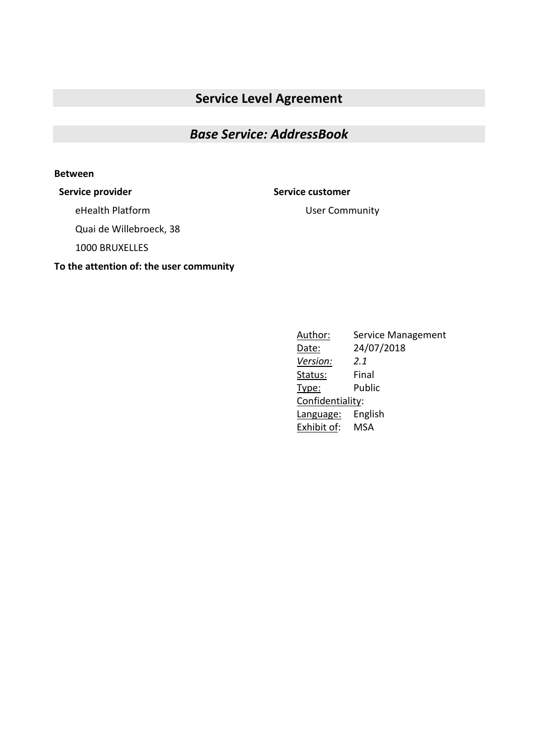### **Service Level Agreement**

### *Base Service: AddressBook*

#### **Between**

#### **Service provider Service customer**

User Community

eHealth Platform

Quai de Willebroeck, 38

1000 BRUXELLES

#### **To the attention of: the user community**

Author: Service Management Date: 24/07/2018 *Version: 2.1* Status: Final Type: Public Confidentiality: Language: English Exhibit of: MSA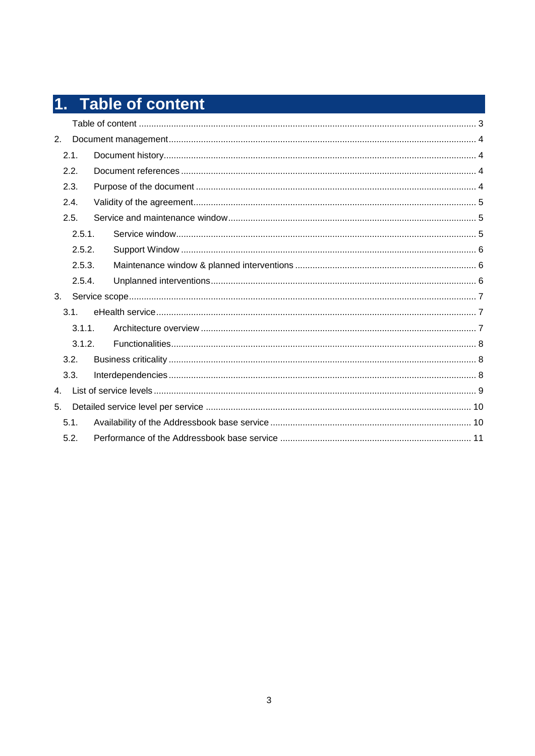# 1. Table of content

| 2. |      |        |  |  |
|----|------|--------|--|--|
|    | 2.1. |        |  |  |
|    | 2.2. |        |  |  |
|    | 2.3. |        |  |  |
|    | 2.4. |        |  |  |
|    | 2.5. |        |  |  |
|    |      | 2.5.1. |  |  |
|    |      | 2.5.2. |  |  |
|    |      | 2.5.3. |  |  |
|    |      | 2.5.4. |  |  |
| 3. |      |        |  |  |
|    | 3.1. |        |  |  |
|    |      | 3.1.1. |  |  |
|    |      | 3.1.2. |  |  |
|    | 3.2. |        |  |  |
|    | 3.3. |        |  |  |
| 4. |      |        |  |  |
| 5. |      |        |  |  |
|    | 5.1. |        |  |  |
|    | 5.2. |        |  |  |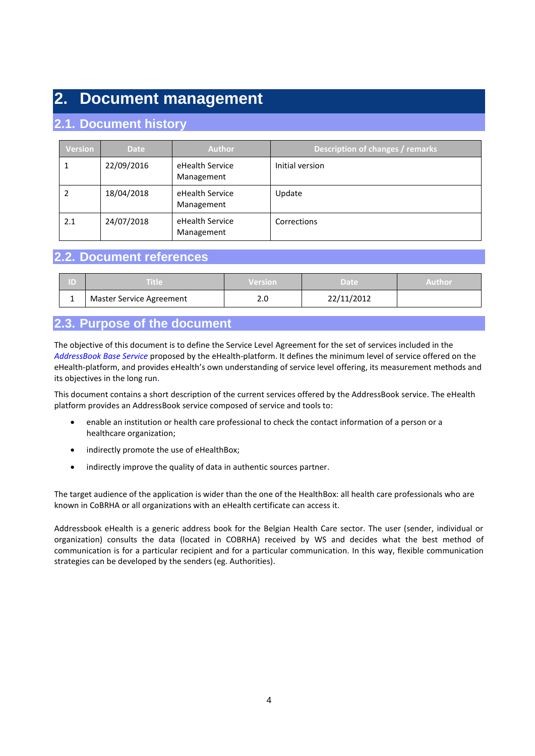### **2. Document management**

### **2.1. Document history**

| <b>Version</b> | <b>Date</b> | <b>Author</b>                 | Description of changes / remarks |
|----------------|-------------|-------------------------------|----------------------------------|
| 1              | 22/09/2016  | eHealth Service<br>Management | Initial version                  |
| 2              | 18/04/2018  | eHealth Service<br>Management | Update                           |
| 2.1            | 24/07/2018  | eHealth Service<br>Management | Corrections                      |

#### **2.2. Document references**

| ID | Title                    | <b>Version</b> | 'Date      | Author |
|----|--------------------------|----------------|------------|--------|
|    | Master Service Agreement | 2.0            | 22/11/2012 |        |

### **2.3. Purpose of the document**

The objective of this document is to define the Service Level Agreement for the set of services included in the *AddressBook Base Service* proposed by the eHealth-platform. It defines the minimum level of service offered on the eHealth-platform, and provides eHealth's own understanding of service level offering, its measurement methods and its objectives in the long run.

This document contains a short description of the current services offered by the AddressBook service. The eHealth platform provides an AddressBook service composed of service and tools to:

- enable an institution or health care professional to check the contact information of a person or a healthcare organization;
- indirectly promote the use of eHealthBox;
- indirectly improve the quality of data in authentic sources partner.

The target audience of the application is wider than the one of the HealthBox: all health care professionals who are known in CoBRHA or all organizations with an eHealth certificate can access it.

Addressbook eHealth is a generic address book for the Belgian Health Care sector. The user (sender, individual or organization) consults the data (located in COBRHA) received by WS and decides what the best method of communication is for a particular recipient and for a particular communication. In this way, flexible communication strategies can be developed by the senders (eg. Authorities).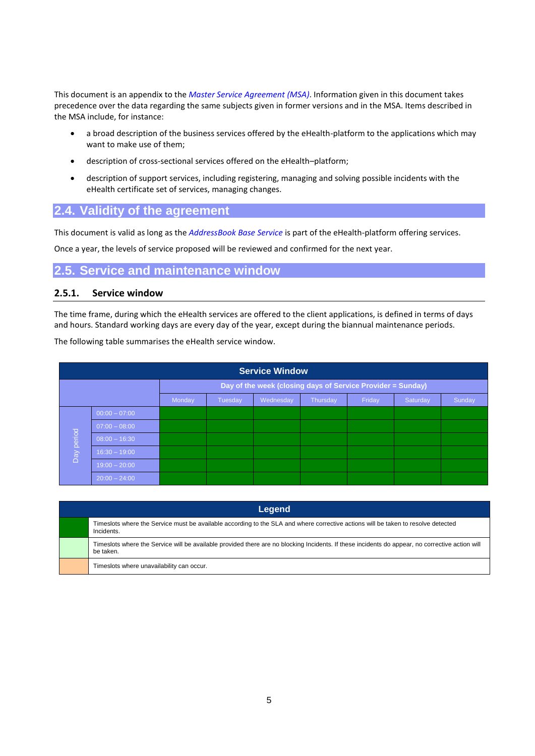This document is an appendix to the *Master Service Agreement (MSA)*. Information given in this document takes precedence over the data regarding the same subjects given in former versions and in the MSA. Items described in the MSA include, for instance:

- a broad description of the business services offered by the eHealth-platform to the applications which may want to make use of them;
- description of cross-sectional services offered on the eHealth–platform;
- description of support services, including registering, managing and solving possible incidents with the eHealth certificate set of services, managing changes.

#### **2.4. Validity of the agreement**

This document is valid as long as the *AddressBook Base Service* is part of the eHealth-platform offering services.

Once a year, the levels of service proposed will be reviewed and confirmed for the next year.

#### **2.5. Service and maintenance window**

#### **2.5.1. Service window**

The time frame, during which the eHealth services are offered to the client applications, is defined in terms of days and hours. Standard working days are every day of the year, except during the biannual maintenance periods.

The following table summarises the eHealth service window.

|            | <b>Service Window</b> |                                                             |         |           |          |        |          |        |
|------------|-----------------------|-------------------------------------------------------------|---------|-----------|----------|--------|----------|--------|
|            |                       | Day of the week (closing days of Service Provider = Sunday) |         |           |          |        |          |        |
|            |                       | Monday                                                      | Tuesday | Wednesday | Thursday | Friday | Saturday | Sunday |
|            | $00:00 - 07:00$       |                                                             |         |           |          |        |          |        |
|            | $07:00 - 08:00$       |                                                             |         |           |          |        |          |        |
| Day period | $08:00 - 16:30$       |                                                             |         |           |          |        |          |        |
|            | $16:30 - 19:00$       |                                                             |         |           |          |        |          |        |
|            | $19:00 - 20:00$       |                                                             |         |           |          |        |          |        |
|            | $20:00 - 24:00$       |                                                             |         |           |          |        |          |        |

| Legend                                                                                                                                                       |  |  |  |  |  |  |
|--------------------------------------------------------------------------------------------------------------------------------------------------------------|--|--|--|--|--|--|
| Timeslots where the Service must be available according to the SLA and where corrective actions will be taken to resolve detected<br>Incidents.              |  |  |  |  |  |  |
| Timeslots where the Service will be available provided there are no blocking Incidents. If these incidents do appear, no corrective action will<br>be taken. |  |  |  |  |  |  |
| Timeslots where unavailability can occur.                                                                                                                    |  |  |  |  |  |  |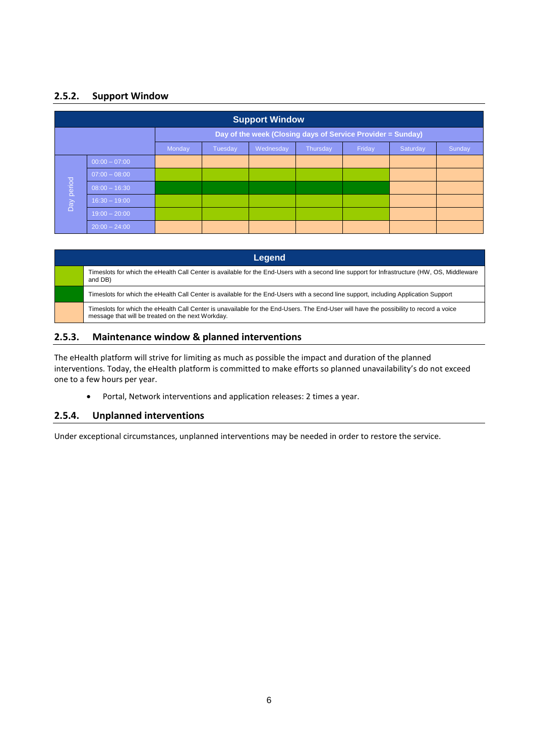#### **2.5.2. Support Window**

|                                                             | <b>Support Window</b>                                                      |  |  |  |  |  |  |  |
|-------------------------------------------------------------|----------------------------------------------------------------------------|--|--|--|--|--|--|--|
| Day of the week (Closing days of Service Provider = Sunday) |                                                                            |  |  |  |  |  |  |  |
|                                                             | Friday<br>Sunday<br>Wednesday<br>Thursday<br>Saturday<br>Monday<br>Tuesday |  |  |  |  |  |  |  |
|                                                             | $00:00 - 07:00$                                                            |  |  |  |  |  |  |  |
|                                                             | $07:00 - 08:00$                                                            |  |  |  |  |  |  |  |
| Day period                                                  | $08:00 - 16:30$                                                            |  |  |  |  |  |  |  |
|                                                             | $16:30 - 19:00$                                                            |  |  |  |  |  |  |  |
|                                                             | $19:00 - 20:00$                                                            |  |  |  |  |  |  |  |
|                                                             | $20:00 - 24:00$                                                            |  |  |  |  |  |  |  |

| Legend                                                                                                                                                                                      |
|---------------------------------------------------------------------------------------------------------------------------------------------------------------------------------------------|
| Timeslots for which the eHealth Call Center is available for the End-Users with a second line support for Infrastructure (HW, OS, Middleware<br>and DB)                                     |
| Timeslots for which the eHealth Call Center is available for the End-Users with a second line support, including Application Support                                                        |
| Timeslots for which the eHealth Call Center is unavailable for the End-Users. The End-User will have the possibility to record a voice<br>message that will be treated on the next Workday. |

#### **2.5.3. Maintenance window & planned interventions**

The eHealth platform will strive for limiting as much as possible the impact and duration of the planned interventions. Today, the eHealth platform is committed to make efforts so planned unavailability's do not exceed one to a few hours per year.

Portal, Network interventions and application releases: 2 times a year.

#### **2.5.4. Unplanned interventions**

Under exceptional circumstances, unplanned interventions may be needed in order to restore the service.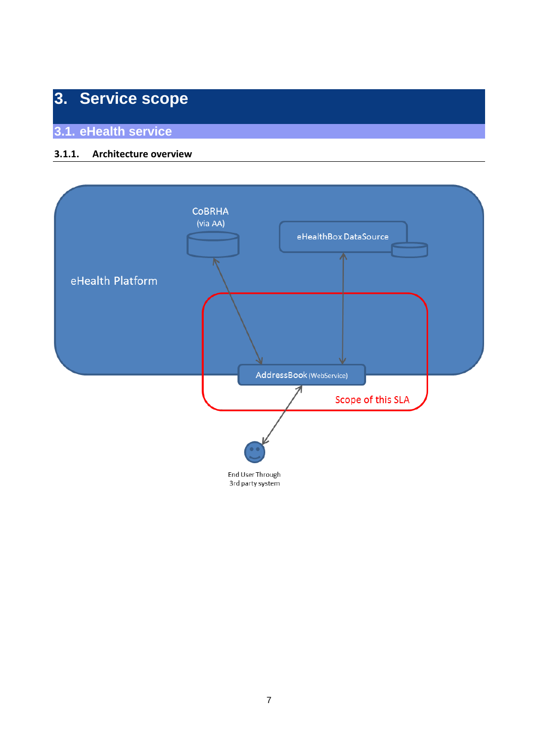# **3. Service scope**

**3.1. eHealth service**

#### **3.1.1. Architecture overview**

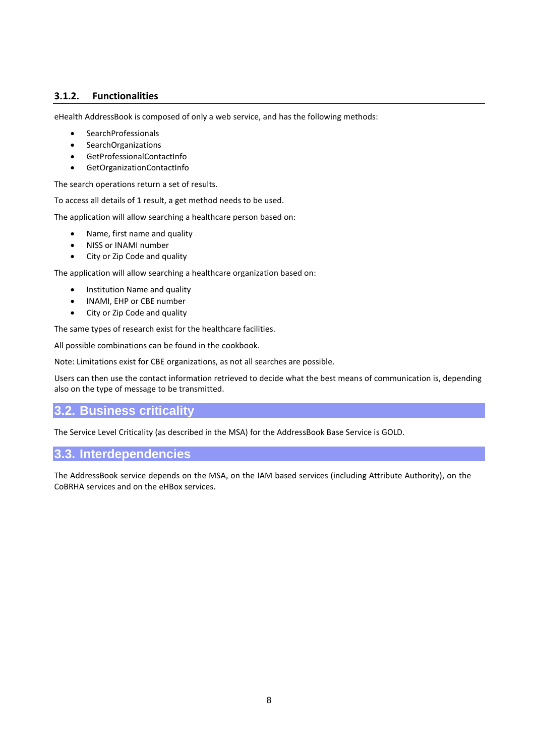#### **3.1.2. Functionalities**

eHealth AddressBook is composed of only a web service, and has the following methods:

- **SearchProfessionals**
- SearchOrganizations
- GetProfessionalContactInfo
- GetOrganizationContactInfo

The search operations return a set of results.

To access all details of 1 result, a get method needs to be used.

The application will allow searching a healthcare person based on:

- Name, first name and quality
- NISS or INAMI number
- City or Zip Code and quality

The application will allow searching a healthcare organization based on:

- Institution Name and quality
- INAMI, EHP or CBE number
- City or Zip Code and quality

The same types of research exist for the healthcare facilities.

All possible combinations can be found in the cookbook.

Note: Limitations exist for CBE organizations, as not all searches are possible.

Users can then use the contact information retrieved to decide what the best means of communication is, depending also on the type of message to be transmitted.

#### **3.2. Business criticality**

The Service Level Criticality (as described in the MSA) for the AddressBook Base Service is GOLD.

#### **3.3. Interdependencies**

The AddressBook service depends on the MSA, on the IAM based services (including Attribute Authority), on the CoBRHA services and on the eHBox services.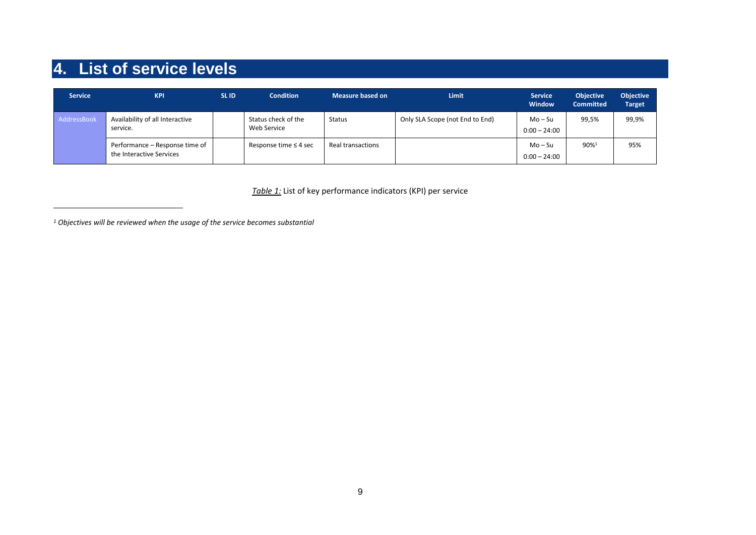# **4. List of service levels**

-

| <b>Service</b> | <b>KPI</b>                                                 | <b>SLID</b> | <b>Condition</b>                   | <b>Measure based on</b> | <b>Limit</b>                    | <b>Service</b><br><b>Window</b> | <b>Objective</b><br><b>Committed</b> | <b>Objective</b><br><b>Target</b> |
|----------------|------------------------------------------------------------|-------------|------------------------------------|-------------------------|---------------------------------|---------------------------------|--------------------------------------|-----------------------------------|
| AddressBook    | Availability of all Interactive<br>service.                |             | Status check of the<br>Web Service | <b>Status</b>           | Only SLA Scope (not End to End) | $Mo-Su$<br>$0:00 - 24:00$       | 99,5%                                | 99,9%                             |
|                | Performance – Response time of<br>the Interactive Services |             | Response time $\leq$ 4 sec         | Real transactions       |                                 | Mo – Su<br>$0:00 - 24:00$       | 90%                                  | 95%                               |

*Table 1:* List of key performance indicators (KPI) per service

*<sup>1</sup> Objectives will be reviewed when the usage of the service becomes substantial*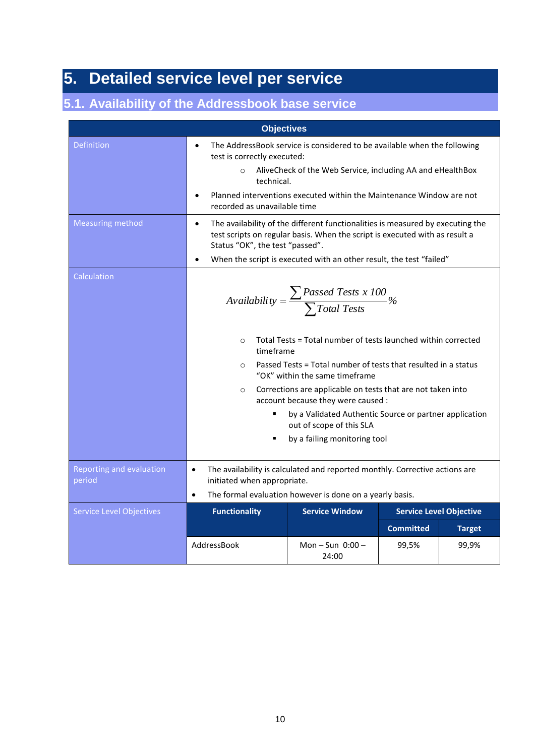# **5. Detailed service level per service**

### **5.1. Availability of the Addressbook base service**

|                                    | <b>Objectives</b>                                                                                                                                                                                                                                                                                                     |                                                                                                                                                                                                                                                                                                                                                                                                                                                                                                  |                  |                                |  |  |  |  |
|------------------------------------|-----------------------------------------------------------------------------------------------------------------------------------------------------------------------------------------------------------------------------------------------------------------------------------------------------------------------|--------------------------------------------------------------------------------------------------------------------------------------------------------------------------------------------------------------------------------------------------------------------------------------------------------------------------------------------------------------------------------------------------------------------------------------------------------------------------------------------------|------------------|--------------------------------|--|--|--|--|
| <b>Definition</b>                  | The AddressBook service is considered to be available when the following<br>$\bullet$<br>test is correctly executed:<br>AliveCheck of the Web Service, including AA and eHealthBox<br>technical.<br>Planned interventions executed within the Maintenance Window are not<br>$\bullet$<br>recorded as unavailable time |                                                                                                                                                                                                                                                                                                                                                                                                                                                                                                  |                  |                                |  |  |  |  |
| <b>Measuring method</b>            | The availability of the different functionalities is measured by executing the<br>$\bullet$<br>test scripts on regular basis. When the script is executed with as result a<br>Status "OK", the test "passed".<br>When the script is executed with an other result, the test "failed"<br>$\bullet$                     |                                                                                                                                                                                                                                                                                                                                                                                                                                                                                                  |                  |                                |  |  |  |  |
| Calculation                        | $\circ$<br>timeframe<br>$\circ$<br>$\circ$                                                                                                                                                                                                                                                                            | $\textit{Availableility} = \frac{\sum \textit{Passed Tests x 100}}{\sum \textit{Total Tests}}\%$<br>Total Tests = Total number of tests launched within corrected<br>Passed Tests = Total number of tests that resulted in a status<br>"OK" within the same timeframe<br>Corrections are applicable on tests that are not taken into<br>account because they were caused :<br>by a Validated Authentic Source or partner application<br>out of scope of this SLA<br>by a failing monitoring tool |                  |                                |  |  |  |  |
| Reporting and evaluation<br>period | The availability is calculated and reported monthly. Corrective actions are<br>$\bullet$<br>initiated when appropriate.<br>The formal evaluation however is done on a yearly basis.<br>$\bullet$                                                                                                                      |                                                                                                                                                                                                                                                                                                                                                                                                                                                                                                  |                  |                                |  |  |  |  |
| <b>Service Level Objectives</b>    | <b>Functionality</b>                                                                                                                                                                                                                                                                                                  | <b>Service Window</b>                                                                                                                                                                                                                                                                                                                                                                                                                                                                            |                  | <b>Service Level Objective</b> |  |  |  |  |
|                                    |                                                                                                                                                                                                                                                                                                                       |                                                                                                                                                                                                                                                                                                                                                                                                                                                                                                  | <b>Committed</b> | <b>Target</b>                  |  |  |  |  |
|                                    | AddressBook                                                                                                                                                                                                                                                                                                           | Mon $-$ Sun $0:00 -$<br>24:00                                                                                                                                                                                                                                                                                                                                                                                                                                                                    | 99,5%            | 99,9%                          |  |  |  |  |